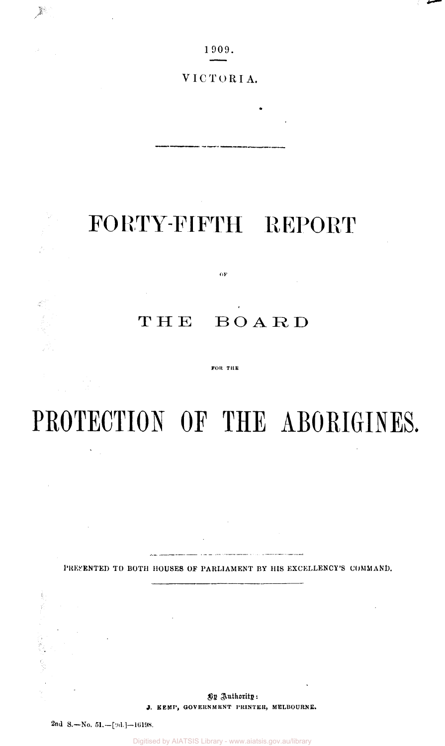1909.

VICTORIA.

## FORTY-FIFTH REPORT

 $\alpha$ F

## THE BOARD

FOR THE

# **PROTECTION OF THE ABORIGINES,**

PRESENTED TO BOTH HOUSES OF PARLIAMENT BY HIS EXCELLENCY'S COMMAND.

By Authority: **J, KEMP, GOVERNMENT PRINTER, MELBOURNE.** 

2nd S.—No. 51.—[9d.]—16198.

 $\mathcal{N}_{\text{max}}$ 

 $\mathbb{R}^2$ 

Digitised by AIATSIS Library - www.aiatsis.gov.au/library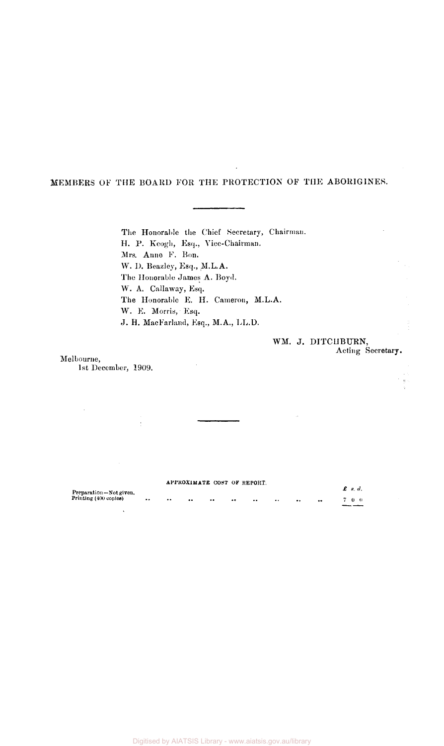## MEMBERS OF THE BOARD FOR THE PROTECTION OF THE ABORIGINES.

The Honorable the Chief Secretary, Chairman. H. P. Keogh, Esq., Vice-Chairman. Mrs. Anne F. Bon. W. D. Beazley, Esq., M.L.A. The Honorable James A. Boyd. W. A. Callaway, Esq. The Honorable E. H. Cameron, M.L.A. W. E. Morris, Esq. J. H. MacFarland, Esq., M.A., LL.D.

## WM. J. DITCUBURN, Acting Secretary.

Melbourne, 1st December, 1909.

|                        |               |                      |                  |                     |            | APPROXIMATE COST OF REPORT. |  |            |                       |
|------------------------|---------------|----------------------|------------------|---------------------|------------|-----------------------------|--|------------|-----------------------|
| Preparation-Not given. |               |                      |                  |                     |            |                             |  |            | $\boldsymbol{f}$ s.d. |
| Printing (400 copies)  | $\cdot \cdot$ | $\ddot{\phantom{0}}$ | $\bullet\bullet$ | $^{\bullet\bullet}$ | $^{\circ}$ | $\bullet\bullet$            |  | $^{\circ}$ | 700                   |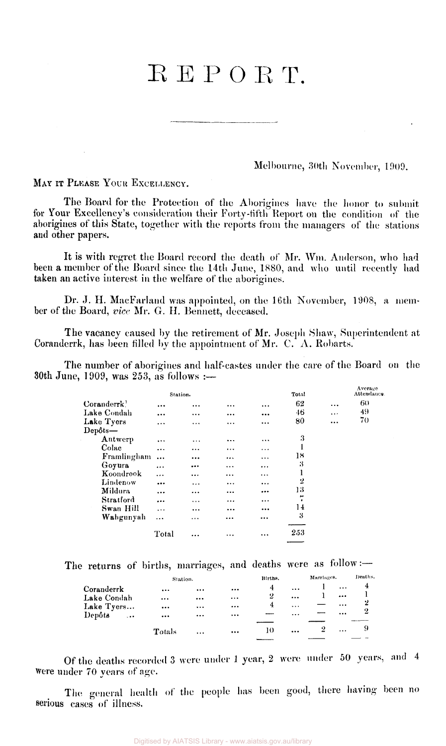## $REPORT$ .

Melbourne, 30th November, 1909.

MAY IT PLEASE YOUR EXCELLENCY.

The Board for the Protection of the Aborigines have the honor to submit for Your Excellency's consideration their Forty-fifth Report on the condition of the aborigines of this State, together with the reports from the managers of the stations and other papers.

It is with regret the Board record the death of Mr. Wm. Anderson, who had been a member of the Board since the 14th June, 1880, and who until recently had taken an active interest in the welfare of the aborigines.

Dr. J. H. MacFarland was appointed, on the 16th November, 1908, a member of the Board, *vice* Mr. *G.* H. Bennett, deceased.

The vacancy caused by the retirement of Mr. Joseph Shaw, Superintendent at Coranderrk, has been filled by the appointment of Mr. C. A. Robarts.

The number of aborigines and half-castes under the care of the Board on the 30th June, 1909, was 253, as follows :—

|             | Station.  |          |          |          | Total                                 |          | Average<br>Attendance |
|-------------|-----------|----------|----------|----------|---------------------------------------|----------|-----------------------|
| Coranderrk  | $\cdots$  |          | $\cdots$ | $\cdots$ | 62                                    | $\cdots$ | 60                    |
| Lake Condah | $\cdots$  | $\cdots$ | $\cdots$ |          | 46                                    | $\cdots$ | 49                    |
| Lake Tyers  | $\cdots$  | $\cdots$ | $\cdots$ | $\cdots$ | 80                                    | $\cdots$ | 70                    |
| Depôts-     |           |          |          |          |                                       |          |                       |
| Antwerp     | $\cdots$  | .        | $\cdots$ |          | 3                                     |          |                       |
| Colac       |           |          | $\cdots$ | $\cdots$ |                                       |          |                       |
| Framlingham |           |          |          | $\cdots$ | 18                                    |          |                       |
| Goyura      | $\cdots$  |          |          | $\cdots$ | 3                                     |          |                       |
| Koondrook   | $\cdots$  | $\cdots$ |          | $\cdots$ | ı                                     |          |                       |
| Lindenow    |           | $\cdots$ |          | $\cdots$ | 2                                     |          |                       |
| Mildura     | $\ddotsc$ | .        |          |          | 13                                    |          |                       |
| Stratford   |           | .        |          | $\cdots$ | $\overline{\phantom{a}}$<br>$\bullet$ |          |                       |
| Swan Hill   | $\cdots$  | $\cdots$ | $\cdots$ | $\cdots$ | 14                                    |          |                       |
| Wahgunyah   |           | $\cdots$ |          |          | 3                                     |          |                       |
|             | Total     |          | $\cdots$ | $\cdots$ | 253                                   |          |                       |

The returns of births, marriages, and deaths were as follow :-

|                  | Station.                |           |          | Births.          |           | Marriages. |          | Deaths.        |
|------------------|-------------------------|-----------|----------|------------------|-----------|------------|----------|----------------|
| Coranderrk       |                         | $\cdots$  | $\cdots$ | 4                | $\cdots$  |            | $\ddots$ | $\overline{4}$ |
| Lake Condah      |                         |           | $\cdots$ | $\boldsymbol{2}$ | $\ddotsc$ |            | $\cdots$ |                |
| Lake Tyers       | $\bullet\bullet\bullet$ | $\cdots$  |          | 4                | $\cdots$  |            | $\cdots$ | -2             |
| Depôts<br>$\sim$ | $\bullet\bullet\bullet$ | $\cdots$  | $\cdots$ |                  | $\cdots$  |            |          | 2              |
|                  |                         |           |          |                  |           |            |          |                |
|                  | Totals                  | $\ddotsc$ |          | 10               | $\cdots$  | 2          | $\cdots$ |                |
|                  |                         |           |          |                  |           |            |          |                |

Of the deaths recorded 3 were under 1 year, 2 were under 50 years, and 4 Were under 70 years of age.

The general health of the people has been good, there having been no serious cases of illness.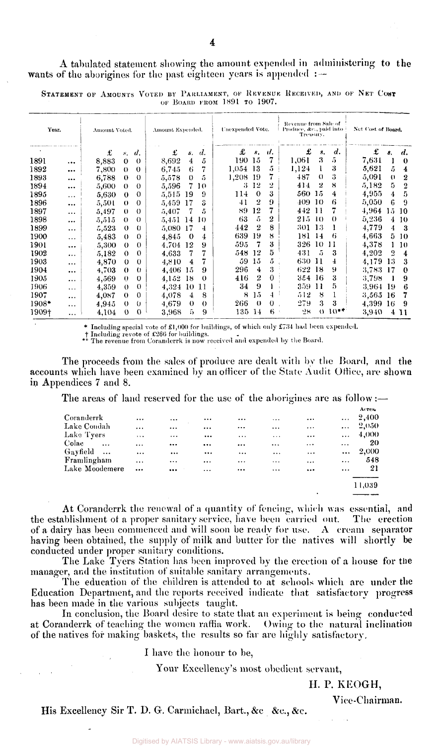A tabulated statement showing the amount expended in administering to the wants of the aborigines for the past eighteen years is appended :-

STATEMENT OF AMOUNTS VOTED BY PARLIAMENT, OF REVENUE RECEIVED, AND OF NET COST OF BOARD FROM 1891 TO 1907.

| Year.   |          | Amount Voted. |              |                    | Amount Expended. |          |          | Unexpended Vote. |                |          | Revenue from Sale of<br>Produce, &c., paid into<br>Treasury. |                  |                    | Net Cost of Board. |          |                    |
|---------|----------|---------------|--------------|--------------------|------------------|----------|----------|------------------|----------------|----------|--------------------------------------------------------------|------------------|--------------------|--------------------|----------|--------------------|
|         |          | £             | $N_{\rm{m}}$ | $\boldsymbol{d}$ . | £                | s.       | d.       | £                | 8.             | u.       | £                                                            | $s$ .            | $\boldsymbol{d}$ . | £                  | 8.       | $\boldsymbol{d}$ . |
| 1891    |          | 8,883         | $\theta$     | $\theta$           | 8,692            | 4        | 5        | 190              | 15             | 7        | 1,061                                                        | 3                | 5                  | 7,631              | 1        | $\bf{0}$           |
| 1892    |          | 7,800         | $\Omega$     | $\theta$           | 6,745            | 6        | 7        | 1,054            | 13             | 5        | 1,124                                                        |                  | 3                  | 5.621              | 5.       | 4                  |
| 1893    |          | 6,788         | $\theta$     | $\Omega$           | 5,578            | $\circ$  | 5        | 1,208            | -19            | 7        | 487                                                          | $\Omega$         | 3                  | 5,091              | $\theta$ | 2                  |
| 1894    |          | 5,600         | $\theta$     | $\theta$           | 5,596            | 7        | 10       | 3.               | 12             | 2        | 414                                                          | $\boldsymbol{2}$ | 8                  | 5,182              | 5.       | $\overline{2}$     |
| 1895    | $\cdots$ | 5,630         | $\theta$     | $\theta$           | 5,515            | 19       | 9        | 114              | $\theta$       | 3        | 560                                                          | 15               | 4                  | 4,955              | 4        | 5                  |
| 1896    |          | 5,501         | $\Omega$     | $\Omega$           | 5,459            | 17       | 3        | 41               | 2              | 9        | 409.                                                         | 10               | 6                  | 5,050              | 6        | 9                  |
| 1897    | $\cdots$ | 5,497         | $\theta$     | $\Omega$           | 5,407            | 7        | 5        | 89               | 12             | 7        | 442                                                          | <sup>11</sup>    | 7                  | 4,964              | 15.      | -10                |
| 1898    | $\cdots$ | 5,515         | $\Omega$     | $\theta$           | 5,451            | 14       | 10       | 63               | 5              | 2        | 215                                                          | $\pm 0$          | $\theta$           | 5,236              | 4        | 10                 |
| 1899    | $\cdots$ | 5,523         | $\theta$     | $\theta$           | 5,080            | 17       | 4        | 442              | $\overline{2}$ | 8        | 301 13                                                       |                  |                    | 4,779              | 4        | -3                 |
| 1900    | $\cdots$ | 5,483         | $\theta$     | $\Omega$           | 4.845            | 0        | 4        | 639              | 19             | 8        | 181                                                          | -14              | 6                  | 4,663              | 5.       | 10                 |
| 1901    | $\cdots$ | 5,300         | $\theta$     | $\theta$           | 4.704            | 12       | 9        | 595              | 7              | 3        | 326                                                          | -10              | 11                 | 4,378              | 1        | 10                 |
| 1902    |          | 5,182         | $\theta$     | $\theta$           | 4,633            | 7        |          | 548              | 12             | 5        | 431                                                          | 5                | 3                  | 4,202              | 2        | 4                  |
| 1903    | $\cdots$ | 4,870         | $\theta$     | $\theta$           | 4,810            | 4        | 7        | 59               | 15             | 5        | 630 11                                                       |                  | 4                  | 4.179              | 13       | 3                  |
| 1904    | $\cdots$ | 4,703         | $\Omega$     | $\theta$           | 4,406            | 15       | 9        | 296              | 4              | 3        | 622 18                                                       |                  | 9                  | 3,783              | 17       | $\Omega$           |
| 1905    | $\cdots$ | 4,569         | $\theta$     | $\theta$           | 4,152            | 18       | $\theta$ | 416              | 2              | 0        | 354 16                                                       |                  | 3                  | 3,798              |          | 9                  |
| 1906    | $\cdots$ | 4,359         | $\theta$     | $\Omega$           | 4,324            | -10      | 11       | 34               | 9              |          | 359.                                                         | -11              | 5                  | 3.964              | 19       | 6                  |
| 1907    | $\cdots$ | 4,087         | $\theta$     | $\Omega$           | 4,078            | 4        | 8        | 8                | 15             | 4        | 512                                                          | 8                |                    | 3,565              | -16      | 7                  |
| $1908*$ |          | 4,945         | $\theta$     | 0                  | 4,679            | $\theta$ | $\theta$ | 266              | $_{0}$         | $\bf{0}$ | 279                                                          | 3                | 3                  | 4.399              | -16      | 9                  |
| 1909†   | .        | 4.104         | $\theta$     | $\theta$           | 3,968            | 5.       | 9        | 135.             | -14            | 6.       | 28                                                           | $\left($         | $10**$             | 3,940              |          | 4 11               |

\* Including special vote of £1,000 for buildings, of which only £734 had been expended. Including revote of £260 for buildings. \*\* The revenue from Coranderrk is now received and expended by the Board.

The proceeds from the sales of produce are dealt with by the Board, and the accounts which have been examined by an officer of the State Audit Office, are shown in Appendices 7 and 8.

The areas of land reserved for the use of the aborigines are as follow :—

|                    |          |          |          |          |          |           |           | Acres. |
|--------------------|----------|----------|----------|----------|----------|-----------|-----------|--------|
| Coranderrk         | $\cdots$ |          | $\cdots$ |          | $\cdots$ | $\cdots$  | $\cdots$  | 2,400  |
| Lake Condah        | $\cdots$ |          | $\cdots$ | $\cdots$ | $\cdots$ | $\cdots$  | $\cdots$  | 2,050  |
| Lake Tyers         | 1.1.1    | $\cdots$ |          | $\cdots$ | $\cdots$ | $\ddotsc$ | $\ddotsc$ | 4,000  |
| Colac<br>$\ddotsc$ | $\cdots$ | $\cdots$ | $\cdots$ |          | $\cdots$ | $\cdots$  | $\cdots$  | 20     |
| Gayfield<br>$\sim$ | $\cdots$ | $\cdots$ | $\cdots$ | $\cdots$ | $\cdots$ | $\cdots$  | $\cdots$  | 2,000  |
| Framlingham        | $\cdots$ | $\cdots$ | $\cdots$ | $\cdots$ | $\cdots$ |           | $\cdots$  | 548    |
| Lake Moodemere     |          | $\cdots$ | $\cdots$ | $\cdots$ | $\cdots$ | $\cdots$  |           | 21     |
|                    |          |          |          |          |          |           |           | 11,039 |
|                    |          |          |          |          |          |           |           |        |

At Coranderrk the renewal of a quantity of fencing, which was essential, and the establishment of a proper sanitary service, have been carried out. The erection of a dairy has been commenced and will soon be ready for use. A cream separator having been obtained, the supply of milk and butter for the natives will shortly be conducted under proper sanitary conditions.

The Lake Tyers Station has been improved by the erection of a house for the manager, and the institution of suitable sanitary arrangements.

The education of the children is attended to at schools which are under the Education Department, and the reports received indicate that satisfactory progress has been made in the various subjects taught.

In conclusion, the Board desire to state that an experiment is being conducted at Coranderrk of teaching the women raffia work. Owing to the natural inclination of the natives for making baskets, the results so far are highly satisfactory.

I have the honour to be,

Your Excellency's most obedient servant,

II. P. KEOGH,

Vice-Chairman.

His Excellency Sir T. D. G. Carmichael, Bart., &c &c., &c.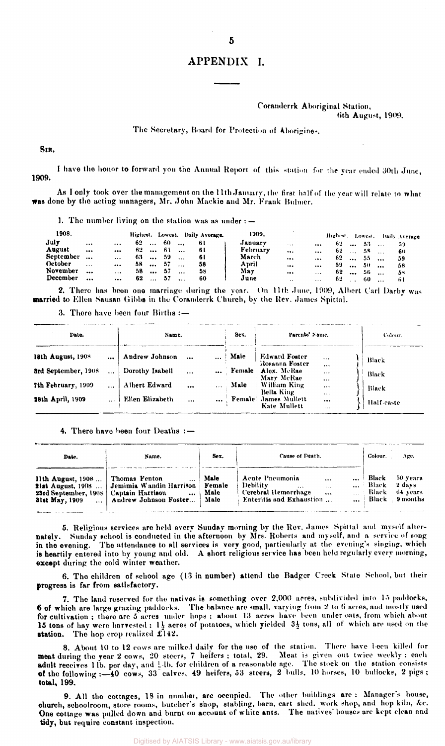## APPENDIX I.

#### Coranderrk Aboriginal Station, **6th August, 1909.**

#### **The Secretary, Hoard for Protection of Aborigines.**

**SIR,** 

**1909.**  I have the honor to forward you the Annual Report of this station for the year ended 30th June,

**As I only took over the management on the 11th January, the first half of the year will relate to what was done by the acting managers, Mr. John Mackie and Mr. Frank Bulmer.** 

**] . The number living on the station was as under :—** 

| 1908.     |           |                         | Highest. |          |     |           | Lowest. Daily Average. | 1909.    |                      |          | Highest.    | Lowest. |           | <b>Daily Average</b> |
|-----------|-----------|-------------------------|----------|----------|-----|-----------|------------------------|----------|----------------------|----------|-------------|---------|-----------|----------------------|
| July      | $\cdots$  | $\cdots$                | 62       | $\cdots$ | -60 | $\ddotsc$ | -61                    | January  | $\cdots$             | $\cdots$ | $62 \ldots$ | -53     |           |                      |
| August    | $\cdots$  | $\bullet\bullet\bullet$ | 62.      | $\cdots$ | -61 | $\ddotsc$ | 6 t                    | February | $\cdots$             | $\cdots$ | 62          | -58     |           | 60                   |
| September | $\cdots$  | $\ddotsc$               | 63.      | $\cdots$ | -59 | $\ddotsc$ | 61                     | March    | $\cdots$             | $\cdots$ | $62 \ldots$ | -55     | $\cdots$  | 59                   |
| October   | $\cdots$  | $\cdots$                | 58.      | $\cdots$ | 57  | $\ddotsc$ | 58                     | April    |                      | $\cdots$ | 59          | -50     | $\ddotsc$ | 58                   |
| November  | $\ddotsc$ | $\cdots$                | 58.      | $\cdots$ | -57 | $\cdots$  | 58                     | May      |                      | $\cdots$ | $62 \ldots$ | -56     | $\ddotsc$ | 53                   |
| December  |           |                         | 62       | $\cdots$ | -57 |           | 60                     | June     | $\ddot{\phantom{a}}$ | $\cdots$ | 62.         | 60      | $\ddotsc$ | -61                  |

**2. There has been one marriage during the year. On 11th June, 1909, Albert Carl Darby was married to Ellen Sausan Gibbs in the Coranderrk Church, by the Rev. James Spittal.** 

**3. There have been four Births :—** 

| Date.               |          | Name.           |          |          | Sex.   | Parents' Name.                         |                                  | Colour.    |
|---------------------|----------|-----------------|----------|----------|--------|----------------------------------------|----------------------------------|------------|
| 18th August, 1908   | $\cdots$ | Andrew Johnson  |          | $\cdots$ | Male   | <b>Edward Foster</b><br>Rosanna Foster | $\cdots$                         | Black      |
| 3rd September, 1908 |          | Dorothy Isabell | $\cdots$ |          |        | Female Alex. McRae<br>Mary McRae       | <br>$\cdots$                     | Black      |
| 7th February, 1909  |          | Albert Edward   |          | $\cdots$ | Male   | William King<br>Bella King             | $\cdots$<br>$\cdots$<br>$\cdots$ | Black      |
| 28th April, 1909    |          | Ellen Elizabeth | $\cdots$ |          | Female | James Mullett<br>Kate Mullett          | <br>$\cdots$                     | Half-caste |

#### **4. There have been four Deaths : —**

| Date.                                                                                   | Name.                                                                                               | Sex.                           | Cause of Death.                                                                             | Colour.                         | Age,                      |                                                  |
|-----------------------------------------------------------------------------------------|-----------------------------------------------------------------------------------------------------|--------------------------------|---------------------------------------------------------------------------------------------|---------------------------------|---------------------------|--------------------------------------------------|
| 11th August, $1908$<br>23rd September, 1908   Captain Harrison<br><b>31st May, 1909</b> | Thomas Fenton<br>21st August, 1908  Jemimia Wandin Harrison<br>$\ddotsc$<br>  Andrew Johnson Foster | Male<br>Female<br>Male<br>Male | Acute Pneumonia<br>Debility.<br>$\cdots$<br>Cerebral Hemorrhage<br>Enteritis and Exhaustion | $\cdots$<br>$\sim$<br>$\ddotsc$ | Black<br>Black<br>… Black | 50 years<br>2 days<br>64 years<br>Black 9 months |

**5. Religious services are held every Sunday morning by the Rev. James Spittal and myself alternately. Sunday school is conducted in the afternoon by Mrs. Roberts and myself, and a service of song in the evening. The attendance to all services is very good, particularly at the evening's singing, which is heartily entered into by young and old. A short religious service has been held regularly every morning, except during the cold winter weather.** 

**6. The children of school age (13 in number) attend the Badger Creek State School, but their progress is far from satisfactory.** 

**7. The land reserved for the natives is something over 2,000 acres, subdivided into 15 paddocks, 6 of which are large grazing paddocks. The balance are small, varying from 2 to 6 acres, and mostly used**  for cultivation; there are 5 acres under hops: about 13 acres have been under oats, from which about 15 tons of hay were harvested ; 11 acres of potatoes, which yielded  $3\frac{1}{2}$  tons, all of which are used on the **Station. The hop crop realized £142 .** 

**8. About 10 to 12 cows are milked daily for the use of the station. There have been killed for meat during the year 2 cows, 20 steers, 7 heifers; total, 29. Meat is given out twice weekly; each adult receives 1 lb. per day, and J,-lb. for children of a reasonable age. The stock on the station consists of the following :—40 cows, 33 calves, 49 heifers, 53 steers, 2** bulls, 10 horses, 10 bullocks, 2 pigs ; **total, 199.** 

**9. All the cottages, 13 in number, arc occupied. The other buildings are : Manager's house, church, schoolroom, store rooms, butcher's shop, stabling, barn, cart shed, work shop, and hop kiln. &c. One cottage was pulled down and burnt on account of white ants. The natives' houses are kept clean and tidy, but require constant inspection.**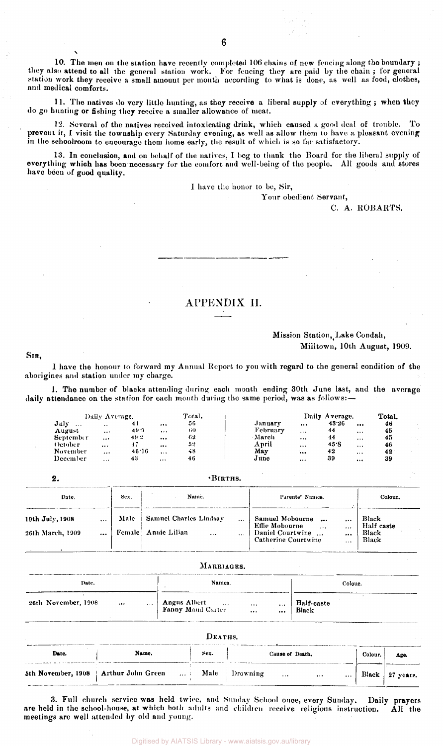10. The men on the station have recently completed 106 chains of new fencing along the boundary; they also attend to all the general station work. For fencing they are paid by the chain ; for general station work they receive a small amount per month according to what is done, as well as food, clothes, and medical comforts.

11. The natives do very little hunting, as they receive a liberal supply of everything; when they do go hunting or fishing they receive a smaller allowance of meat.

12. Several of the natives received intoxicating drink, which caused a good deal of trouble. To prevent it, I visit the township every Saturday evening, as well as allow them to have a pleasant evening in the schoolroom to encourage them home early, the result of which is so far satisfactory.

13. In conclusion, and on behalf of the natives, I beg to thank the Board for the liberal supply of everything which has been necessary for the comfort and well-being of the people. All goods and stores have been of good quality.

1 have the honor to be, Sir,

Your obedient Servant,

C. A. ROBARTS.

## APPENDIX II.

## Mission Station, Lake Condah, Milltown, 10th August, 1909.

SIR ,

I have the honour to forward my Annual Report to you with regard to the general condition of the aborigines and station under my charge.

1. The number of blacks attending during each month ending 30th June last, and the average daily attendance on the station for each month during the same period, was as follows:-

|               | Daily Average.       |       |           | Total. |          |          | Daily Average. |          | Total. |         |
|---------------|----------------------|-------|-----------|--------|----------|----------|----------------|----------|--------|---------|
| July<br>1.1.1 | $\ddot{\phantom{0}}$ | 44    | $\cdots$  | 56     | Januarv  |          | 43.26          |          | 46     |         |
| August        | $\cdots$             | 49.9  | $\cdots$  | 60     | February | $\cdots$ | 44             | $\cdots$ | 45     |         |
| September     | $\cdots$             | 49.2  | $\cdots$  | 62     | March    | $\cdots$ | 44             | $\cdots$ | 45     | and the |
| October       |                      | -17   | $\ddotsc$ | 52     | April    | $\cdots$ | 45.S           | $\cdots$ | 46     |         |
| November      | $\cdots$             | 46.16 | $\cdots$  | 48     | May      |          | 42             | $\cdots$ | 42     |         |
| December      |                      | 43    | $\cdots$  | 46     | J une    | $\cdots$ | 39             |          | 39     |         |

| ٠.                                  |              |      |                                                           |                      |                                                                                                        |                               |                                       |  |
|-------------------------------------|--------------|------|-----------------------------------------------------------|----------------------|--------------------------------------------------------------------------------------------------------|-------------------------------|---------------------------------------|--|
| Date.                               |              | Sex. | Name.                                                     |                      | Parents' Names.                                                                                        |                               | Colour.                               |  |
| 19th July, 1908<br>26th March, 1909 | $\cdots$<br> | Male | Samuel Charles Lindsay<br>Female Annie Lilian<br>$\cdots$ | $\cdots$<br>$\cdots$ | Samuel Mobourne<br><br>Effie Mobourne<br>$\sim$ 10 $\sigma$<br>Daniel Courtwine<br>Catherine Courtwine | <br>$\ddotsc$<br><br>$\cdots$ | Black<br>Half caste<br>Black<br>Black |  |

| Date.               |          |          | Names.                                                                 | Colour.             |
|---------------------|----------|----------|------------------------------------------------------------------------|---------------------|
| 26th November, 1908 | $\cdots$ | $\sim$ . | Angus Albert<br>$\sim$ $\sim$<br>$\cdots$<br>$\cdots$<br>$\ddotsc$<br> | Half-caste<br>Black |
|                     |          |          | DEATHS.                                                                |                     |

| Date. | Name.                                                 | Sex. | Cause of Death.      | Colour. | Age.            |
|-------|-------------------------------------------------------|------|----------------------|---------|-----------------|
|       | 5th November, 1908   Arthur John Green  Male Drowning |      | $\cdots$<br>$\cdots$ |         | Black 27 years. |

3. Full church service was held twice, and Sunday School once, every Sunday. Daily prayers are held in the school-house, at which both adults and children receive religious instruction. All the meetings are well attended by old and young.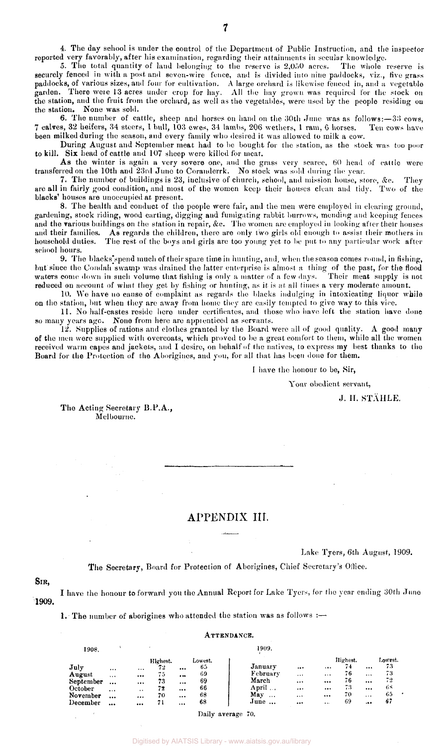5. The total quantity of land belonging to the reserve is 2,050 acres. The whole reserve is securely fenced in with a post and seven-wire fence, and is divided into nine paddocks, viz., live grass paddocks, of various sizes, and four for cultivation. A large orchard is likewise fenced in, and a vegetable garden. There were 13 acres under crop for hay. All the hay grown was required for the stock on the station, and the fruit from the orchard, as well as the vegetables, were used by the people residing on the station. None was sold.

6. The number of cattle, sheep and horses on hand on the 30th June was as follows:—33 cows, 7 calves, 32 heifers, 34 steers, 1 bull, 103 owes, 34 lambs, 206 wethers, 1 ram, 6 horses. Ten cows have been milked during the season, and every family who desired it was allowed to milk a cow.

During August and September meat had to be bought for the station, as the stock was too poor to kill. Six head of cattle and 107 sheep were killed for meat.

As the winter is again a very severe one, and the grass very scarce, 60 head of cattle were transferred on the 10th and 23rd June to Coranderrk. No stock was sold during the year.

7. The number of buildings is 23, inclusive of church, school, and mission house, store, &c. They are all in fairly good condition, and most of the women keep their houses clean and tidy. Two of the blacks' houses are unoccupied at present.

8. The health and conduct of the people were fair, and the men were employed in clearing ground, gardening, stock riding, wood carting, digging and fumigating rabbit burrows, mending and keeping fences and the various buildings on the station in repair, &c. The women are employed in looking after their houses and their families. As regards the children, there are only two girls old enough to assist their mothers in household duties. The rest of the boys and girls are too young yet to be put to any particular work after school hours.

9. The blacks spend much of their spare time in hunting, and, when the season comes round, in fishing, but since the Condah swamp was drained the latter enterprise is almost a thing of the past, for the flood waters come down in such volume that fishing is only a matter of a few days. Their meat supply is not reduced on account of what they get by fishing or hunting, as it is at all times a very moderate amount.

10. We have no cause of complaint as regards the blacks indulging in intoxicating liquor while on the station, but when they are away from home they are easily tempted to give way to this vice.

11. No half-castes reside here under certificates, and those who have left the station have done so many years ago. None from here are apprenticed as servants.

12. Supplies of rations and clothes granted by the Board were all of good quality. A good many of the men were supplied with overcoats, which proved to be a great comfort to them, while all the women received warm capes and jackets, and I desire, on behalf of the natives, to express my best thanks to the Board for the Protection of the Aborigines, and you, for all that has been done for them.

I have the honour to be, Sir,

Your obedient servant,

J. H. STAHLE.

The Acting Secretary B.P.A., Melbourne.

## APPENDIX III.

Lake Tyers, 6th August, 1909.

The Secretary, Board for Protection of Aborigines, Chief Secretary's Office.

### SIR,

1909. I have the honour to forward you the Annual Report for Lake Tyers, for the year ending 30th Juno

1. The number of aborigines who attended the station was as follows :—

#### ATTENDANCE.

| 1908.     |          |          |          |          |         | 1909.           |          |          |          |          |         |
|-----------|----------|----------|----------|----------|---------|-----------------|----------|----------|----------|----------|---------|
|           |          |          | Highest. |          | Lowest. |                 |          |          | Highest. |          | Lowest. |
| July      |          | $\cdots$ | 72.      |          | 65      | January         | $\cdots$ | $\cdots$ | 74       | $\cdots$ | 73      |
| August    | $\cdots$ | $\cdots$ | 75       | $\cdots$ | 69      | February        | $\cdots$ | $\cdots$ | 76       | $\cdots$ | 73      |
| September | $\cdots$ | $\cdots$ | 73       |          | 69      | March           | $\cdots$ |          | 76       | $\cdots$ | 72      |
| October   | $\cdots$ | $\cdots$ | 72       | $\cdots$ | 66      | April           |          |          | 73       | $\cdots$ | 68      |
| November  |          |          | 70       | $\cdots$ | 68      | May<br>$\cdots$ | $\cdots$ | $\cdots$ | 70       | $\cdots$ | 65      |
| December  | $\cdots$ |          | 71       |          | 68      | June            |          |          | 69       | .44      | 67      |
|           |          |          |          |          |         |                 |          |          |          |          |         |

#### Daily average 70.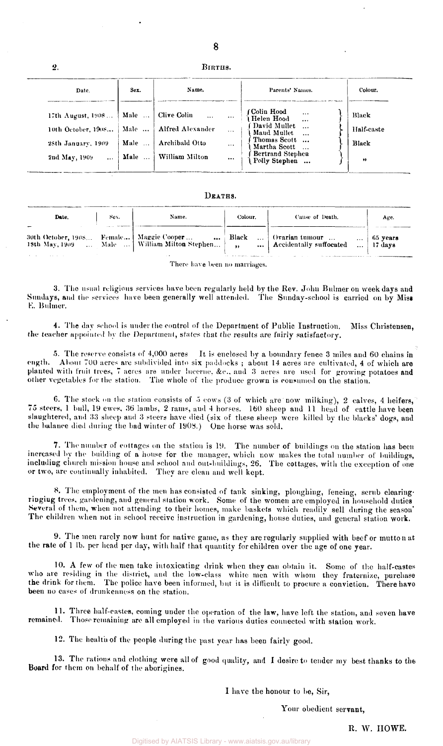## BIRTHS.

 $\mathbf{2}$ .

| Date.                                                                                      | Sex.                         | Name.                                                                 |                                  | Parents' Names.                                                                                                                             | Colour.                                   |
|--------------------------------------------------------------------------------------------|------------------------------|-----------------------------------------------------------------------|----------------------------------|---------------------------------------------------------------------------------------------------------------------------------------------|-------------------------------------------|
| 17th August, 1908<br>10th October, 1908<br>28th January, 1909<br>2nd May, 1909<br>$\cdots$ | Male<br>Male<br>Male<br>Male | Clive Colin<br>  Alfred Alexander<br>Archibald Otto<br>William Milton | $\cdots$<br>$\cdots$<br>$\cdots$ | f Colin Hood<br>{ Helen Hood<br>Favid Mullet<br>{ David Mullet<br>{ Thomas Scott<br>{ Martha Scott<br>{ Bertrand Stephen<br>{ Polly Stephen | Black<br>Half-caste<br><b>Black</b><br>,, |

#### DEATHS.

| Date. | Sex. | Name.                                                                                       | Colour. | Cause of Death.                                                                        | Age.                  |
|-------|------|---------------------------------------------------------------------------------------------|---------|----------------------------------------------------------------------------------------|-----------------------|
|       |      | 30th October, 1908 Female   Maggie Cooper<br>18th May, 1909  Male    William Milton Stephen |         | $\ldots$ Black $\ldots$ Ovarian tumour $\ldots$<br>$\cdots$<br>Accidentally suffocated | 65 years<br>  17 davs |

There have been no marriages.

3. The usual religious services have been regularly held by the Rev. John Bulmer on weekdays and Sundays, and the services have been generally well attended. The Sunday-school is carried on by Miss E. Bulmer.

4. The day school is under the control of the Department of Public Instruction. Miss Christensen, the teacher appointed by the Department, states that the results are fairly satisfactory.

5. The reserve consists of 4,000 acres It is enclosed by a boundary fence 3 miles and 60 chains in ength. About 700 acres are subdivided into six paddocks ; about 14 acres are cultivated, 4 of which are planted with fruit trees, 7 acres are under lucerne, &c . and 3 acres are used for growing potatoes and other vegetables for the station. The whole of the produce grown is consumed on the station.

6. The stock on the station consists of 5 cows (3 of which are now milking), 2 calves, 4 heifers, 75 steers, 1 bull, 19 ewes, 36 lambs, 2 rams, and 4 horses. 160 sheep and 11 head of cattle have been slaughtered, and 33 sheep and 3 steers have died (six of these sheep were killed by the blacks' dogs, and the balance died during the bad winter of 1908.) One horse was sold.

7. The number of cottages on the station is 19. The number of buildings on the station has been increased by the building of a house for the manager, which now makes the total number of buildings, including church mission house and school and out-buildings, 26. The cottages, with the exception of one or two, are continually inhabited. They are clean and well kept.

8. The employment of the men has consisted of tank sinking, ploughing, fencing, scrub clearingriogiug trees, gardening, and general station work. Some of the women are employed in household duties Several of them, when not attending to their homes, make baskets which readily sell during the season' The children when not in school receive instruction in gardening, house duties, and general station work.

9. The men rarely now hunt for native game, as they are regularly supplied with beef or mutton at the rate of 1 lb. per head per day, with half that quantity for children over the age of one year.

10. A few of the men take intoxicating drink when they can obtain it. Some of the half-castes who ate residing in the district, and the low-class white men with whom they fraternize, purchase the drink for them. The police have been informed, but it is difficult to procure a conviction. There have been no cases of drunkenness on the station.

11. Three half-castes, coming under the operation of the law, have left the station, and seven have remained. Those remaining are all employed in the various duties connected with station work.

12. The health of the people during the past year has been fairly good.

13. The rations and clothing were all of good quality, and I desire to tender my best thanks to the Board for them on behalf of the aborigines.

I have the honour to be, Sir,

Your obedient servant,

R. W. HOWE.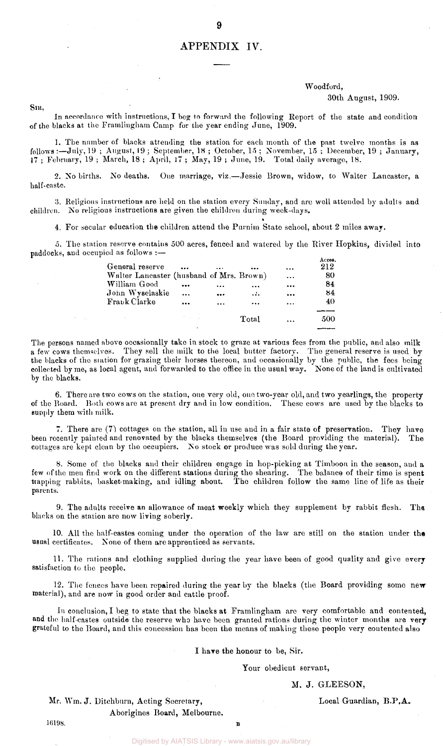## APPENDIX IV.

9

## Woodford,

#### 30th August, 1909.

SIR,

In accordance with instructions, I beg to forward the following Report of the state and condition of the blacks at the Framlingham Camp for the year ending June, 1909.

1. The number of blacks attending the station for each month of the past twelve months is as follows:—July, 19 ; August, 19; September, 18 ; October, 15 ; November, 15 ; December, 19 ; January, 17 ; February, 19 ; March, 18 ; April, 17 ; May, 19 ; June, 19. Total daily average, 18.

2. No births. No deaths. One marriage, viz.—Jessie Brown, widow, to Walter Lancaster, a half-caste.

3. Religious instructions are held on the station every Sunday, and are well attended by adults and children. No religious instructions are given the children during week-days.

4. For secular education the children attend the Purnim State school, about 2 miles away.

5. The station reserve contains 500 acres, fenced and watered by the River Hopkins, divided into paddocks, and occupied as follows :—

| General reserve                          |                 |           |           | $\ddotsc$ | Acres.<br>212 |
|------------------------------------------|-----------------|-----------|-----------|-----------|---------------|
| Walter Lancaster (husband of Mrs. Brown) |                 |           |           | $\ddots$  | 80            |
| William Good                             |                 | .         |           | $\cdots$  | 84            |
| John Wyselaskie                          | $\ddotsc$       | $\cdots$  | $\ddotsc$ | $\ddotsc$ | 84            |
| Frank Clarke                             | $\ddotsc$       | $\ddotsc$ | $\cdots$  | $\cdots$  | 40            |
|                                          |                 |           |           |           |               |
|                                          | and the control |           | Total     | $\ddotsc$ | 500           |
|                                          |                 |           |           |           |               |

The persons named above occasionally take in stock to graze at various fees from the public, and also milk a few cows themselves. They sell the milk to the local butter factory. The general reserve is used by the blacks of the station for grazing their horses thereon, and occasionally by the public, the fees being collected by me, as local agent, and forwarded to the office in the usual way. None of the land is cultivated by the blacks.

6. There are two cows on the station, one very old, one two-year old, and two yearlings, the property of the Board. Both cows are at present dry and in low condition. These cows are used by the blacks to supply them with milk.

7. There are (7) cottages on the station, all in use and in a fair state of preservation. They have been recently painted and renovated by the blacks themselves (the Board providing the material). The cottages are kept clean by the occupiers. No stock or produce was sold during the year.

8. Some of the blacks and their children engage in hop-picking at Timboon in the season, and a few of the men find work on the different stations during the shearing. The balance of their time is spent trapping rabbits, basket-making, and idling about. The children follow the same lino of life as their parents.

9. The adults receive an allowance of meat weekly which they supplement by rabbit flesh. The blacks on the station are now living soberly.

10. All the half-castes coming under the operation of the law are still on the station under the usual certificates. None of them are apprenticed as servants.

11. The rations and clothing supplied during the year have been of good quality and give every satisfaction to the people.

12. The fences have been repaired during the year by the blacks (the Board providing some new material), and are now in good order and cattle proof.

In conclusion, I beg to state that the blacks at Framlingham are very comfortable and contented, and the half-castes outside the reserve who have been granted rations during the winter months are very grateful to the Board, and this concession has been the means of making these people very contented also

I have the honour to be, Sir.

#### Your obedient servant,

#### M. J. GLEESON,

Mr. Wm. J. Ditchburn, Acting Secretary, Local Guardian, B.P.A. Aborigines Board, Melbourne.

 $16198.$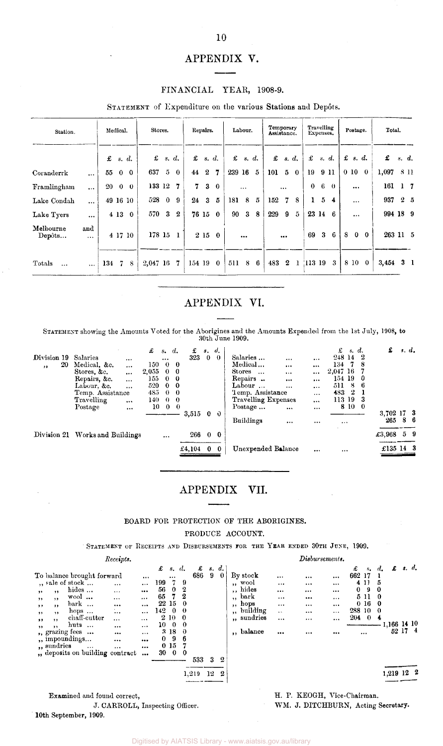## APPENDIX V.

#### FINANCIAL YEAR, 1908-9.

STATEMENT of Expenditure on the various Stations and Depôts.

| Station.            |                 |     | Medical. |              | Stores.  |          |                  |        | Repairs.                 |                |          | Labour.        |             | Temporary<br>Assistance. |                |              | Travelling<br>Expenses. |       |          |   | Postage.        |              | Total.      |                |                 |
|---------------------|-----------------|-----|----------|--------------|----------|----------|------------------|--------|--------------------------|----------------|----------|----------------|-------------|--------------------------|----------------|--------------|-------------------------|-------|----------|---|-----------------|--------------|-------------|----------------|-----------------|
|                     |                 | £   | s. d.    |              | £        |          | s. d.            |        | $\mathbf{\pounds}$ s. d. |                | £        | s. d.          |             | £                        | s. d.          |              | £                       | s. d. |          |   | $\pounds$ s. d. |              | £           | s. d.          |                 |
| Coranderrk          | $\ddotsc$       | 55  | $\bf{0}$ | $\mathbf 0$  | 637      | 5        | $\bf{0}$         | 44     |                          | 2 <sub>7</sub> | 239 16 5 |                |             | 101                      | 5 <sub>5</sub> | $\bf{0}$     | 19                      | 9 11  |          |   | 0 <sub>10</sub> | $\bf{0}$     | 1,097       |                | <b>8 11</b>     |
| Framlingham         | $\cdots$        | 20  | $\bf{0}$ | $\theta$     | 133 12   |          | 7                | 7      | $3 -$                    | $\mathbf{0}$   |          | $\cdots$       |             |                          | $\cdots$       |              | $\bf{0}$                | 6     | $\theta$ |   | $\cdots$        |              | 161         | 1 <sub>7</sub> |                 |
| Lake Condah         | $\ddotsc$       |     | 49 16 10 |              | 528      | $\bf{0}$ | 9                | 24     | 3                        | 5              | 181      | 8 <sup>8</sup> | $5^{\circ}$ | 152                      | 7              | 8            | 1                       | 5     | 4        |   | $\cdots$        |              | 937         |                | $2\overline{5}$ |
| Lake Tyers          | $\ddotsc$       |     | 4 13     | $\mathbf{0}$ | 570 3    |          | $\boldsymbol{2}$ |        | 76 15 0                  |                | 90       |                | 38          | 229                      | -9             | 5            | 23 14                   |       | -6       |   | $\cdots$        |              | 994 18 9    |                |                 |
| Melbourne<br>Depôts | and<br>$\cdots$ |     | 4 17 10  |              | 178 15   |          | 1                |        | 2150                     |                |          | $\cdots$       |             |                          | $\cdots$       |              | 69                      | 3     | 6        | 8 | $\bf{0}$        | $\mathbf{0}$ | 263 11 5    |                |                 |
| Totals<br>$\ddotsc$ | $\cdots$        | 134 | -7       | 8            | 2,047 16 |          | -7               | 154 19 |                          | $\mathbf{0}$ . | 511      |                | 86          | 483 2                    |                | $\mathbf{1}$ | 113 19                  |       | -3       |   | 8 10 0          |              | $3,454$ 3 1 |                |                 |

## APPENDIX VI.

STATEMENT showing the Amounts Voted for the Aborigines and the Amounts Expended from the 1st July, 1908, to 30th June 1909.

| £ | $s_{\bullet}$                   | £<br>d.                                         | s.                                                                                                                            | d,         |                                                     |                     | £<br>s. d.     | £         | s. d.           |
|---|---------------------------------|-------------------------------------------------|-------------------------------------------------------------------------------------------------------------------------------|------------|-----------------------------------------------------|---------------------|----------------|-----------|-----------------|
|   |                                 |                                                 |                                                                                                                               | $\theta$   | Salaries<br>                                        |                     | -2<br>248 14   |           |                 |
|   |                                 | -0                                              |                                                                                                                               |            | Medical<br>$\cdots$                                 | $\cdots$            | 134<br>8       |           |                 |
|   |                                 | -0                                              |                                                                                                                               |            | Stores<br>$\ddotsc$<br>$\cdots$                     |                     | 2,047 16       |           |                 |
|   |                                 |                                                 |                                                                                                                               |            | Repairs<br>                                         | $\cdots$            | 154 19<br>-0   |           |                 |
|   |                                 |                                                 |                                                                                                                               |            | Labour $\ldots$<br>$\cdots$                         | $\cdots$            | 8<br>-6<br>511 |           |                 |
|   |                                 |                                                 |                                                                                                                               |            | Temp. Assistance                                    | $\cdots$            | -2<br>483      |           |                 |
|   |                                 |                                                 |                                                                                                                               |            |                                                     | $\cdots$            | 113 19<br>3    |           |                 |
|   |                                 | $\theta$                                        |                                                                                                                               |            | Postage<br>$\cdots$                                 | $\cdots$            | 8 10<br>- 0    |           |                 |
|   |                                 |                                                 |                                                                                                                               | $\theta$   |                                                     |                     |                | 3,702     | 17 <sup>3</sup> |
|   |                                 |                                                 |                                                                                                                               |            | Buildings<br>                                       | $\cdots$            |                | 265       | 86              |
|   |                                 |                                                 |                                                                                                                               | $\bf{0}$   |                                                     |                     |                | £3,968    | 59              |
|   |                                 |                                                 |                                                                                                                               | $\Omega$   | Unexpended Balance                                  | $\cdots$            | $\cdots$       | £135 14 3 |                 |
|   | Division 21 Works and Buildings | 150<br>2,055<br>155<br>520<br>485<br>140.<br>10 | $\sim 0$<br>$\sim 0$<br>$0\quad 0$<br>$0\quad 0$<br>$0\quad 0$<br>$\begin{matrix} 0 & 0 \end{matrix}$<br>$\theta$<br>$\cdots$ | 323<br>266 | $\mathbf{0}$<br>$3,515$ 0<br>$\bf{0}$<br>£4,104 $0$ | Travelling Expenses |                |           |                 |

## APPENDIX VII.

## BOARD FOR PROTECTION OF THE ABORIGINES. PRODUCE ACCOUNT.

STATEMENT OF RECEIPTS AND DISBURSEMENTS FOR THE YEAR ENDED 30TH JUNE, 1909.

|                                                                                                                                                                                                                                                                                                                                     | Receipts.                                                                                                                                                                                            |                                                                                                                                                                |                                                                                                                             |                                                                                                             |                                                                       | Disbursements.                                                       |                                                                              |                                                                                                                     |                                                        |                                                |
|-------------------------------------------------------------------------------------------------------------------------------------------------------------------------------------------------------------------------------------------------------------------------------------------------------------------------------------|------------------------------------------------------------------------------------------------------------------------------------------------------------------------------------------------------|----------------------------------------------------------------------------------------------------------------------------------------------------------------|-----------------------------------------------------------------------------------------------------------------------------|-------------------------------------------------------------------------------------------------------------|-----------------------------------------------------------------------|----------------------------------------------------------------------|------------------------------------------------------------------------------|---------------------------------------------------------------------------------------------------------------------|--------------------------------------------------------|------------------------------------------------|
| To balance brought forward<br>", sale of stock<br>hides<br>, ,<br>$, \,$<br>$\mathbf{w}$ ool<br>, ,<br>,,<br>bark<br>, ,<br>$, \,$<br>hops $\ldots$<br>, ,<br>, ,<br>chaff-cutter<br>$, \,$<br>$, \,$<br>huts<br>, ,<br>, ,<br>,, grazing fees<br><br>", impoundings<br>", sundries<br>$\cdots$<br>", deposits on building contract | $\cdots$<br>$\cdots$<br>$\cdots$<br><br>$\cdots$<br>$\cdots$<br><br>$\cdots$<br><br>$\cdots$<br>$\cdots$<br>$\cdots$<br>$\cdots$<br>$\cdots$<br><br>$\cdots$<br><br><br><br><br>$\cdots$<br>$\cdots$ | £<br>s. d.<br><br>199<br>- 7<br>56<br>$\mathbf{0}$<br>65<br>22 15<br>1420<br>2 10<br>10<br>$\mathbf{0}$<br>3180<br>-9<br>$\bf{0}$<br>$0\,15$<br>30<br>$\bf{0}$ | s. d.<br>£<br>9<br>686<br>$\bf{0}$<br>-9<br>2<br>2<br>- 0<br>$\theta$<br>- 0<br>-0<br>-6<br>- 0<br>533<br>3<br>$\mathbf{2}$ | By stock<br>,, wool<br>,, hides<br>,, bark<br>,, hops<br>building<br>$\bullet$<br>", sundries<br>,, balance | $\cdots$<br><br>$\cdots$<br><br>$\cdots$<br>$\ddotsc$<br>$\cdots$<br> | <br>$\cdots$<br>$\cdots$<br><br>$\cdots$<br><br>$\cdots$<br>$\cdots$ | $\cdots$<br>$\cdots$<br>$\cdots$<br>$\cdots$<br>$\cdots$<br>$\cdots$<br><br> | £<br>$s_{\bullet}$<br>662 17<br>4 1 1<br>0<br>9<br>5 11<br>0 <sub>16</sub><br>288 10<br>204<br>$\theta$<br>$\cdots$ | £<br>$d_{\bullet}$<br>5<br>-0<br>-0<br>- 0<br>- 0<br>4 | s. d.<br>1,166 14 10<br>52 17<br>$\frac{4}{ }$ |
|                                                                                                                                                                                                                                                                                                                                     |                                                                                                                                                                                                      |                                                                                                                                                                | 1,219<br>2<br>12                                                                                                            |                                                                                                             |                                                                       |                                                                      |                                                                              |                                                                                                                     |                                                        | 1,219 12 2                                     |

Examined and found correct, J. CARROLL, Inspecting Officer. 10th September, 1909.

H. P. KEOGH, Vice-Chairman. WM. J. DITCHBURN, Acting Secretary.

Digitised by AIATSIS Library - www.aiatsis.gov.au/library